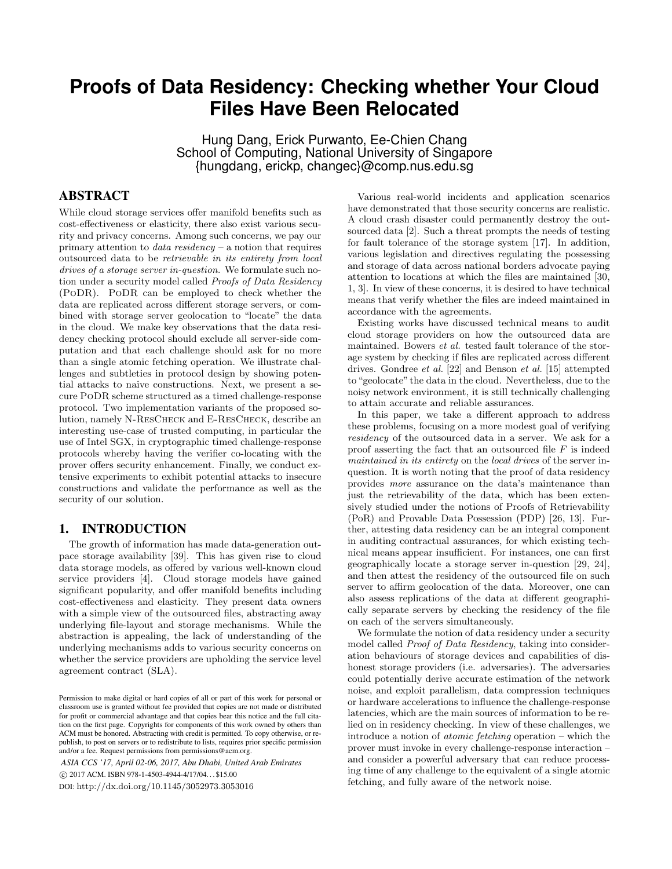# **Proofs of Data Residency: Checking whether Your Cloud Files Have Been Relocated**

Hung Dang, Erick Purwanto, Ee-Chien Chang School of Computing, National University of Singapore {hungdang, erickp, changec}@comp.nus.edu.sg

# ABSTRACT

While cloud storage services offer manifold benefits such as cost-effectiveness or elasticity, there also exist various security and privacy concerns. Among such concerns, we pay our primary attention to *data residency* – a notion that requires outsourced data to be retrievable in its entirety from local drives of a storage server in-question. We formulate such notion under a security model called Proofs of Data Residency (PoDR). PoDR can be employed to check whether the data are replicated across different storage servers, or combined with storage server geolocation to "locate" the data in the cloud. We make key observations that the data residency checking protocol should exclude all server-side computation and that each challenge should ask for no more than a single atomic fetching operation. We illustrate challenges and subtleties in protocol design by showing potential attacks to naive constructions. Next, we present a secure PoDR scheme structured as a timed challenge-response protocol. Two implementation variants of the proposed solution, namely N-ResCheck and E-ResCheck, describe an interesting use-case of trusted computing, in particular the use of Intel SGX, in cryptographic timed challenge-response protocols whereby having the verifier co-locating with the prover offers security enhancement. Finally, we conduct extensive experiments to exhibit potential attacks to insecure constructions and validate the performance as well as the security of our solution.

### 1. INTRODUCTION

The growth of information has made data-generation outpace storage availability [39]. This has given rise to cloud data storage models, as offered by various well-known cloud service providers [4]. Cloud storage models have gained significant popularity, and offer manifold benefits including cost-effectiveness and elasticity. They present data owners with a simple view of the outsourced files, abstracting away underlying file-layout and storage mechanisms. While the abstraction is appealing, the lack of understanding of the underlying mechanisms adds to various security concerns on whether the service providers are upholding the service level agreement contract (SLA).

*ASIA CCS '17, April 02-06, 2017, Abu Dhabi, United Arab Emirates* c 2017 ACM. ISBN 978-1-4503-4944-4/17/04. . . \$15.00

DOI: http://dx.doi.org/10.1145/3052973.3053016

Various real-world incidents and application scenarios have demonstrated that those security concerns are realistic. A cloud crash disaster could permanently destroy the outsourced data [2]. Such a threat prompts the needs of testing for fault tolerance of the storage system [17]. In addition, various legislation and directives regulating the possessing and storage of data across national borders advocate paying attention to locations at which the files are maintained [30, 1, 3]. In view of these concerns, it is desired to have technical means that verify whether the files are indeed maintained in accordance with the agreements.

Existing works have discussed technical means to audit cloud storage providers on how the outsourced data are maintained. Bowers et al. tested fault tolerance of the storage system by checking if files are replicated across different drives. Gondree et al. [22] and Benson et al. [15] attempted to "geolocate" the data in the cloud. Nevertheless, due to the noisy network environment, it is still technically challenging to attain accurate and reliable assurances.

In this paper, we take a different approach to address these problems, focusing on a more modest goal of verifying residency of the outsourced data in a server. We ask for a proof asserting the fact that an outsourced file  $F$  is indeed maintained in its entirety on the local drives of the server inquestion. It is worth noting that the proof of data residency provides more assurance on the data's maintenance than just the retrievability of the data, which has been extensively studied under the notions of Proofs of Retrievability (PoR) and Provable Data Possession (PDP) [26, 13]. Further, attesting data residency can be an integral component in auditing contractual assurances, for which existing technical means appear insufficient. For instances, one can first geographically locate a storage server in-question [29, 24], and then attest the residency of the outsourced file on such server to affirm geolocation of the data. Moreover, one can also assess replications of the data at different geographically separate servers by checking the residency of the file on each of the servers simultaneously.

We formulate the notion of data residency under a security model called Proof of Data Residency, taking into consideration behaviours of storage devices and capabilities of dishonest storage providers (i.e. adversaries). The adversaries could potentially derive accurate estimation of the network noise, and exploit parallelism, data compression techniques or hardware accelerations to influence the challenge-response latencies, which are the main sources of information to be relied on in residency checking. In view of these challenges, we introduce a notion of atomic fetching operation – which the prover must invoke in every challenge-response interaction – and consider a powerful adversary that can reduce processing time of any challenge to the equivalent of a single atomic fetching, and fully aware of the network noise.

Permission to make digital or hard copies of all or part of this work for personal or classroom use is granted without fee provided that copies are not made or distributed for profit or commercial advantage and that copies bear this notice and the full citation on the first page. Copyrights for components of this work owned by others than ACM must be honored. Abstracting with credit is permitted. To copy otherwise, or republish, to post on servers or to redistribute to lists, requires prior specific permission and/or a fee. Request permissions from permissions@acm.org.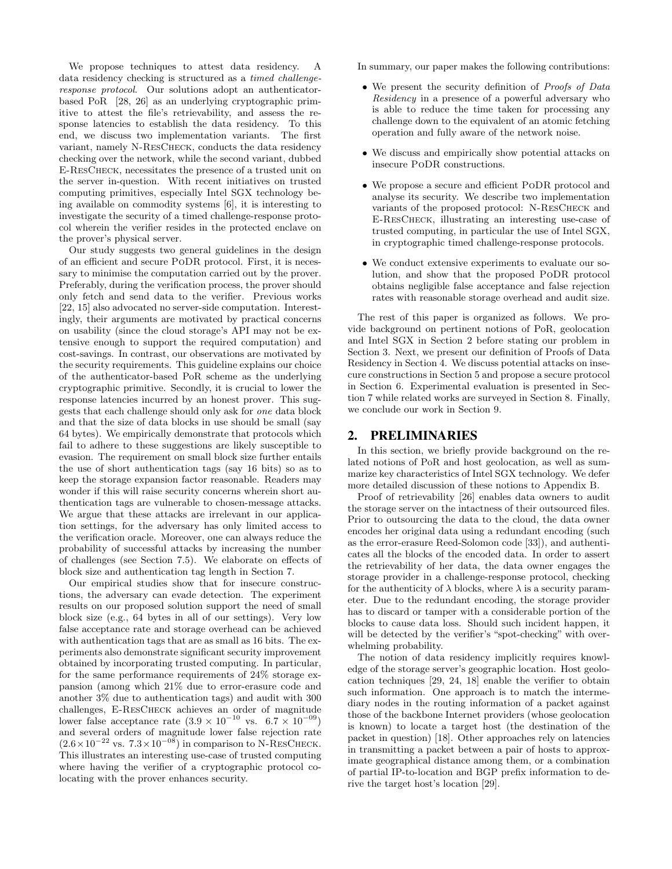We propose techniques to attest data residency. A data residency checking is structured as a timed challengeresponse protocol. Our solutions adopt an authenticatorbased PoR [28, 26] as an underlying cryptographic primitive to attest the file's retrievability, and assess the response latencies to establish the data residency. To this end, we discuss two implementation variants. The first variant, namely N-ResCheck, conducts the data residency checking over the network, while the second variant, dubbed E-ResCheck, necessitates the presence of a trusted unit on the server in-question. With recent initiatives on trusted computing primitives, especially Intel SGX technology being available on commodity systems [6], it is interesting to investigate the security of a timed challenge-response protocol wherein the verifier resides in the protected enclave on the prover's physical server.

Our study suggests two general guidelines in the design of an efficient and secure PoDR protocol. First, it is necessary to minimise the computation carried out by the prover. Preferably, during the verification process, the prover should only fetch and send data to the verifier. Previous works [22, 15] also advocated no server-side computation. Interestingly, their arguments are motivated by practical concerns on usability (since the cloud storage's API may not be extensive enough to support the required computation) and cost-savings. In contrast, our observations are motivated by the security requirements. This guideline explains our choice of the authenticator-based PoR scheme as the underlying cryptographic primitive. Secondly, it is crucial to lower the response latencies incurred by an honest prover. This suggests that each challenge should only ask for one data block and that the size of data blocks in use should be small (say 64 bytes). We empirically demonstrate that protocols which fail to adhere to these suggestions are likely susceptible to evasion. The requirement on small block size further entails the use of short authentication tags (say 16 bits) so as to keep the storage expansion factor reasonable. Readers may wonder if this will raise security concerns wherein short authentication tags are vulnerable to chosen-message attacks. We argue that these attacks are irrelevant in our application settings, for the adversary has only limited access to the verification oracle. Moreover, one can always reduce the probability of successful attacks by increasing the number of challenges (see Section 7.5). We elaborate on effects of block size and authentication tag length in Section 7.

Our empirical studies show that for insecure constructions, the adversary can evade detection. The experiment results on our proposed solution support the need of small block size (e.g., 64 bytes in all of our settings). Very low false acceptance rate and storage overhead can be achieved with authentication tags that are as small as 16 bits. The experiments also demonstrate significant security improvement obtained by incorporating trusted computing. In particular, for the same performance requirements of 24% storage expansion (among which 21% due to error-erasure code and another 3% due to authentication tags) and audit with 300 challenges, E-ResCheck achieves an order of magnitude lower false acceptance rate  $(3.9 \times 10^{-10} \text{ vs. } 6.7 \times 10^{-09})$ and several orders of magnitude lower false rejection rate  $(2.6\times10^{-22} \text{ vs. } 7.3\times10^{-08})$  in comparison to N-RESCHECK. This illustrates an interesting use-case of trusted computing where having the verifier of a cryptographic protocol colocating with the prover enhances security.

In summary, our paper makes the following contributions:

- We present the security definition of *Proofs of Data* Residency in a presence of a powerful adversary who is able to reduce the time taken for processing any challenge down to the equivalent of an atomic fetching operation and fully aware of the network noise.
- We discuss and empirically show potential attacks on insecure PoDR constructions.
- We propose a secure and efficient PoDR protocol and analyse its security. We describe two implementation variants of the proposed protocol: N-ResCheck and E-ResCheck, illustrating an interesting use-case of trusted computing, in particular the use of Intel SGX, in cryptographic timed challenge-response protocols.
- We conduct extensive experiments to evaluate our solution, and show that the proposed PoDR protocol obtains negligible false acceptance and false rejection rates with reasonable storage overhead and audit size.

The rest of this paper is organized as follows. We provide background on pertinent notions of PoR, geolocation and Intel SGX in Section 2 before stating our problem in Section 3. Next, we present our definition of Proofs of Data Residency in Section 4. We discuss potential attacks on insecure constructions in Section 5 and propose a secure protocol in Section 6. Experimental evaluation is presented in Section 7 while related works are surveyed in Section 8. Finally, we conclude our work in Section 9.

#### 2. PRELIMINARIES

In this section, we briefly provide background on the related notions of PoR and host geolocation, as well as summarize key characteristics of Intel SGX technology. We defer more detailed discussion of these notions to Appendix B.

Proof of retrievability [26] enables data owners to audit the storage server on the intactness of their outsourced files. Prior to outsourcing the data to the cloud, the data owner encodes her original data using a redundant encoding (such as the error-erasure Reed-Solomon code [33]), and authenticates all the blocks of the encoded data. In order to assert the retrievability of her data, the data owner engages the storage provider in a challenge-response protocol, checking for the authenticity of  $\lambda$  blocks, where  $\lambda$  is a security parameter. Due to the redundant encoding, the storage provider has to discard or tamper with a considerable portion of the blocks to cause data loss. Should such incident happen, it will be detected by the verifier's "spot-checking" with overwhelming probability.

The notion of data residency implicitly requires knowledge of the storage server's geographic location. Host geolocation techniques [29, 24, 18] enable the verifier to obtain such information. One approach is to match the intermediary nodes in the routing information of a packet against those of the backbone Internet providers (whose geolocation is known) to locate a target host (the destination of the packet in question) [18]. Other approaches rely on latencies in transmitting a packet between a pair of hosts to approximate geographical distance among them, or a combination of partial IP-to-location and BGP prefix information to derive the target host's location [29].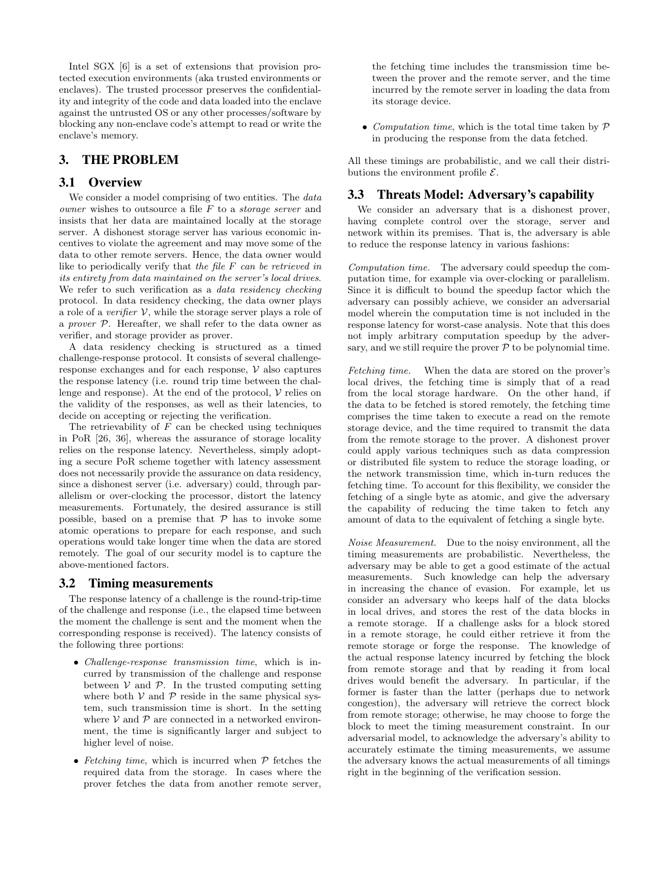Intel SGX [6] is a set of extensions that provision protected execution environments (aka trusted environments or enclaves). The trusted processor preserves the confidentiality and integrity of the code and data loaded into the enclave against the untrusted OS or any other processes/software by blocking any non-enclave code's attempt to read or write the enclave's memory.

# 3. THE PROBLEM

#### 3.1 Overview

We consider a model comprising of two entities. The data *owner* wishes to outsource a file  $F$  to a *storage server* and insists that her data are maintained locally at the storage server. A dishonest storage server has various economic incentives to violate the agreement and may move some of the data to other remote servers. Hence, the data owner would like to periodically verify that the file  $F$  can be retrieved in its entirety from data maintained on the server's local drives. We refer to such verification as a *data residency checking* protocol. In data residency checking, the data owner plays a role of a *verifier*  $V$ , while the storage server plays a role of a prover P. Hereafter, we shall refer to the data owner as verifier, and storage provider as prover.

A data residency checking is structured as a timed challenge-response protocol. It consists of several challengeresponse exchanges and for each response,  $\mathcal V$  also captures the response latency (i.e. round trip time between the challenge and response). At the end of the protocol,  $V$  relies on the validity of the responses, as well as their latencies, to decide on accepting or rejecting the verification.

The retrievability of  $F$  can be checked using techniques in PoR [26, 36], whereas the assurance of storage locality relies on the response latency. Nevertheless, simply adopting a secure PoR scheme together with latency assessment does not necessarily provide the assurance on data residency, since a dishonest server (i.e. adversary) could, through parallelism or over-clocking the processor, distort the latency measurements. Fortunately, the desired assurance is still possible, based on a premise that  $P$  has to invoke some atomic operations to prepare for each response, and such operations would take longer time when the data are stored remotely. The goal of our security model is to capture the above-mentioned factors.

#### 3.2 Timing measurements

The response latency of a challenge is the round-trip-time of the challenge and response (i.e., the elapsed time between the moment the challenge is sent and the moment when the corresponding response is received). The latency consists of the following three portions:

- Challenge-response transmission time, which is incurred by transmission of the challenge and response between  $V$  and  $\mathcal{P}$ . In the trusted computing setting where both  $V$  and  $P$  reside in the same physical system, such transmission time is short. In the setting where  $V$  and  $P$  are connected in a networked environment, the time is significantly larger and subject to higher level of noise.
- Fetching time, which is incurred when  $P$  fetches the required data from the storage. In cases where the prover fetches the data from another remote server,

the fetching time includes the transmission time between the prover and the remote server, and the time incurred by the remote server in loading the data from its storage device.

• Computation time, which is the total time taken by  $P$ in producing the response from the data fetched.

All these timings are probabilistic, and we call their distributions the environment profile  $\mathcal{E}$ .

#### 3.3 Threats Model: Adversary's capability

We consider an adversary that is a dishonest prover, having complete control over the storage, server and network within its premises. That is, the adversary is able to reduce the response latency in various fashions:

Computation time. The adversary could speedup the computation time, for example via over-clocking or parallelism. Since it is difficult to bound the speedup factor which the adversary can possibly achieve, we consider an adversarial model wherein the computation time is not included in the response latency for worst-case analysis. Note that this does not imply arbitrary computation speedup by the adversary, and we still require the prover  $P$  to be polynomial time.

Fetching time. When the data are stored on the prover's local drives, the fetching time is simply that of a read from the local storage hardware. On the other hand, if the data to be fetched is stored remotely, the fetching time comprises the time taken to execute a read on the remote storage device, and the time required to transmit the data from the remote storage to the prover. A dishonest prover could apply various techniques such as data compression or distributed file system to reduce the storage loading, or the network transmission time, which in-turn reduces the fetching time. To account for this flexibility, we consider the fetching of a single byte as atomic, and give the adversary the capability of reducing the time taken to fetch any amount of data to the equivalent of fetching a single byte.

Noise Measurement. Due to the noisy environment, all the timing measurements are probabilistic. Nevertheless, the adversary may be able to get a good estimate of the actual measurements. Such knowledge can help the adversary in increasing the chance of evasion. For example, let us consider an adversary who keeps half of the data blocks in local drives, and stores the rest of the data blocks in a remote storage. If a challenge asks for a block stored in a remote storage, he could either retrieve it from the remote storage or forge the response. The knowledge of the actual response latency incurred by fetching the block from remote storage and that by reading it from local drives would benefit the adversary. In particular, if the former is faster than the latter (perhaps due to network congestion), the adversary will retrieve the correct block from remote storage; otherwise, he may choose to forge the block to meet the timing measurement constraint. In our adversarial model, to acknowledge the adversary's ability to accurately estimate the timing measurements, we assume the adversary knows the actual measurements of all timings right in the beginning of the verification session.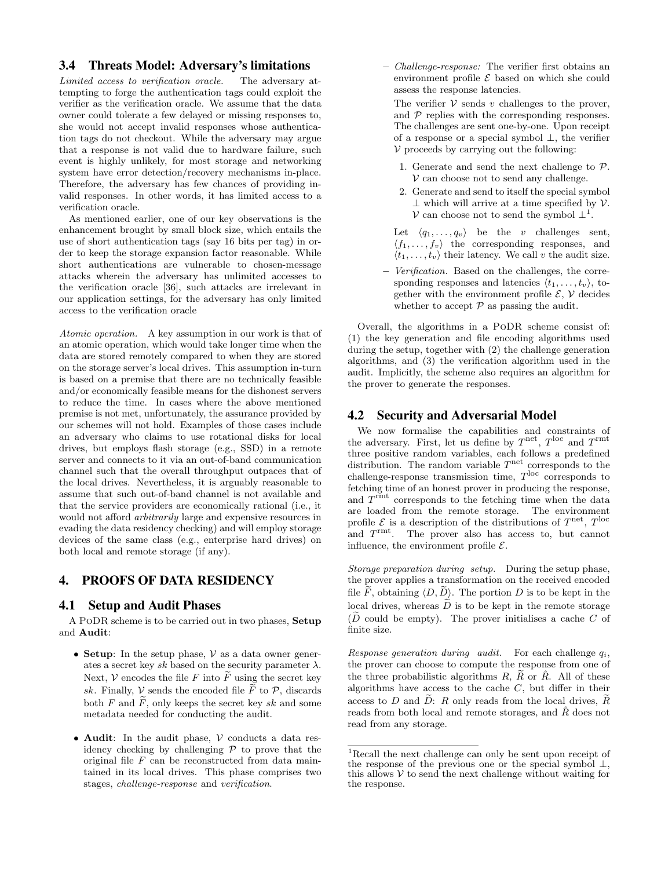### 3.4 Threats Model: Adversary's limitations

Limited access to verification oracle. The adversary attempting to forge the authentication tags could exploit the verifier as the verification oracle. We assume that the data owner could tolerate a few delayed or missing responses to, she would not accept invalid responses whose authentication tags do not checkout. While the adversary may argue that a response is not valid due to hardware failure, such event is highly unlikely, for most storage and networking system have error detection/recovery mechanisms in-place. Therefore, the adversary has few chances of providing invalid responses. In other words, it has limited access to a verification oracle.

As mentioned earlier, one of our key observations is the enhancement brought by small block size, which entails the use of short authentication tags (say 16 bits per tag) in order to keep the storage expansion factor reasonable. While short authentications are vulnerable to chosen-message attacks wherein the adversary has unlimited accesses to the verification oracle [36], such attacks are irrelevant in our application settings, for the adversary has only limited access to the verification oracle

Atomic operation. A key assumption in our work is that of an atomic operation, which would take longer time when the data are stored remotely compared to when they are stored on the storage server's local drives. This assumption in-turn is based on a premise that there are no technically feasible and/or economically feasible means for the dishonest servers to reduce the time. In cases where the above mentioned premise is not met, unfortunately, the assurance provided by our schemes will not hold. Examples of those cases include an adversary who claims to use rotational disks for local drives, but employs flash storage (e.g., SSD) in a remote server and connects to it via an out-of-band communication channel such that the overall throughput outpaces that of the local drives. Nevertheless, it is arguably reasonable to assume that such out-of-band channel is not available and that the service providers are economically rational (i.e., it would not afford arbitrarily large and expensive resources in evading the data residency checking) and will employ storage devices of the same class (e.g., enterprise hard drives) on both local and remote storage (if any).

## 4. PROOFS OF DATA RESIDENCY

#### 4.1 Setup and Audit Phases

A PoDR scheme is to be carried out in two phases, Setup and Audit:

- Setup: In the setup phase,  $\mathcal V$  as a data owner generates a secret key sk based on the security parameter  $\lambda$ . Next, V encodes the file F into  $\widetilde{F}$  using the secret key sk. Finally, V sends the encoded file  $\widetilde{F}$  to  $\mathcal{P}$ , discards both F and  $\widetilde{F}$ , only keeps the secret key sk and some metadata needed for conducting the audit.
- Audit: In the audit phase,  $\mathcal V$  conducts a data residency checking by challenging  $P$  to prove that the original file  $F$  can be reconstructed from data maintained in its local drives. This phase comprises two stages, challenge-response and verification.

– Challenge-response: The verifier first obtains an environment profile  $\mathcal E$  based on which she could assess the response latencies.

The verifier  $V$  sends  $v$  challenges to the prover, and  $P$  replies with the corresponding responses. The challenges are sent one-by-one. Upon receipt of a response or a special symbol ⊥, the verifier  $V$  proceeds by carrying out the following:

- 1. Generate and send the next challenge to  $P$ .  $V$  can choose not to send any challenge.
- 2. Generate and send to itself the special symbol  $\perp$  which will arrive at a time specified by  $\mathcal V$ . V can choose not to send the symbol  $\perp^1$ .
- Let  $\langle q_1, \ldots, q_v \rangle$  be the v challenges sent,  $\langle f_1, \ldots, f_v \rangle$  the corresponding responses, and  $\langle t_1, \ldots, t_v \rangle$  their latency. We call v the audit size.
- Verification. Based on the challenges, the corresponding responses and latencies  $\langle t_1, \ldots, t_v \rangle$ , together with the environment profile  $\mathcal{E},\,\mathcal{V}$  decides whether to accept  $P$  as passing the audit.

Overall, the algorithms in a PoDR scheme consist of: (1) the key generation and file encoding algorithms used during the setup, together with (2) the challenge generation algorithms, and (3) the verification algorithm used in the audit. Implicitly, the scheme also requires an algorithm for the prover to generate the responses.

#### 4.2 Security and Adversarial Model

We now formalise the capabilities and constraints of the adversary. First, let us define by  $T^{\text{net}}$ ,  $T^{\text{loc}}$  and  $T^{\text{rmt}}$ three positive random variables, each follows a predefined distribution. The random variable  $T^{\text{net}}$  corresponds to the challenge-response transmission time,  $T^{\rm loc}$  corresponds to fetching time of an honest prover in producing the response, and  $T<sup>rm</sup>$  corresponds to the fetching time when the data are loaded from the remote storage. The environment profile  $\mathcal E$  is a description of the distributions of  $T^{\text{net}}$ ,  $T^{\text{loc}}$ and  $T<sup>rm</sup>$ . The prover also has access to, but cannot influence, the environment profile  $\mathcal{E}$ .

Storage preparation during setup. During the setup phase, the prover applies a transformation on the received encoded file  $\widetilde{F}$ , obtaining  $\langle D, \widetilde{D} \rangle$ . The portion D is to be kept in the local drives, whereas  $\tilde{D}$  is to be kept in the remote storage  $(\tilde{D}$  could be empty). The prover initialises a cache C of finite size.

Response generation during audit. For each challenge  $q_i$ , the prover can choose to compute the response from one of the three probabilistic algorithms  $R, \tilde{R}$  or  $\hat{R}$ . All of these algorithms have access to the cache  $C$ , but differ in their access to D and  $\ddot{D}$ : R only reads from the local drives,  $\ddot{R}$ reads from both local and remote storages, and  $\hat{R}$  does not read from any storage.

<sup>1</sup>Recall the next challenge can only be sent upon receipt of the response of the previous one or the special symbol  $\perp$ , this allows  $V$  to send the next challenge without waiting for the response.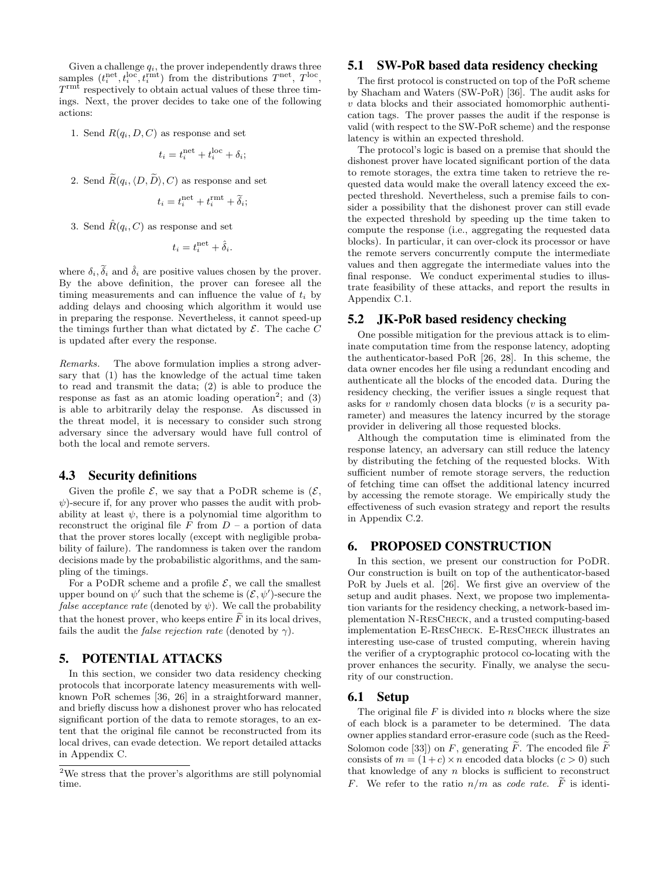Given a challenge  $q_i$ , the prover independently draws three samples  $(t_i^{\text{net}}, t_i^{\text{loc}}, t_i^{\text{rmt}})$  from the distributions  $T^{\text{net}}, T^{\text{loc}},$  $T^{\text{rmt}}$  respectively to obtain actual values of these three timings. Next, the prover decides to take one of the following actions:

1. Send  $R(q_i, D, C)$  as response and set

$$
t_i = t_i^{\text{net}} + t_i^{\text{loc}} + \delta_i;
$$

2. Send  $\widetilde{R}(q_i,\langle D,\widetilde{D}\rangle, C)$  as response and set

$$
t_i = t_i^{\text{net}} + t_i^{\text{rmt}} + \widetilde{\delta}_i;
$$

3. Send  $\hat{R}(q_i, C)$  as response and set

$$
t_i = t_i^{\text{net}} + \hat{\delta}_i.
$$

where  $\delta_i$ ,  $\tilde{\delta}_i$  and  $\hat{\delta}_i$  are positive values chosen by the prover. By the above definition, the prover can foresee all the timing measurements and can influence the value of  $t_i$  by adding delays and choosing which algorithm it would use in preparing the response. Nevertheless, it cannot speed-up the timings further than what dictated by  $\mathcal{E}$ . The cache C is updated after every the response.

Remarks. The above formulation implies a strong adversary that (1) has the knowledge of the actual time taken to read and transmit the data; (2) is able to produce the response as fast as an atomic loading operation<sup>2</sup>; and  $(3)$ is able to arbitrarily delay the response. As discussed in the threat model, it is necessary to consider such strong adversary since the adversary would have full control of both the local and remote servers.

#### 4.3 Security definitions

Given the profile  $\mathcal{E}$ , we say that a PoDR scheme is  $(\mathcal{E},$  $\psi$ )-secure if, for any prover who passes the audit with probability at least  $\psi$ , there is a polynomial time algorithm to reconstruct the original file  $F$  from  $D - a$  portion of data that the prover stores locally (except with negligible probability of failure). The randomness is taken over the random decisions made by the probabilistic algorithms, and the sampling of the timings.

For a PoDR scheme and a profile  $\mathcal{E}$ , we call the smallest upper bound on  $\psi'$  such that the scheme is  $(\mathcal{E}, \psi')$ -secure the false acceptance rate (denoted by  $\psi$ ). We call the probability that the honest prover, who keeps entire  $\widetilde{F}$  in its local drives, fails the audit the *false rejection rate* (denoted by  $\gamma$ ).

## 5. POTENTIAL ATTACKS

In this section, we consider two data residency checking protocols that incorporate latency measurements with wellknown PoR schemes [36, 26] in a straightforward manner, and briefly discuss how a dishonest prover who has relocated significant portion of the data to remote storages, to an extent that the original file cannot be reconstructed from its local drives, can evade detection. We report detailed attacks in Appendix C.

#### 5.1 SW-PoR based data residency checking

The first protocol is constructed on top of the PoR scheme by Shacham and Waters (SW-PoR) [36]. The audit asks for  $v$  data blocks and their associated homomorphic authentication tags. The prover passes the audit if the response is valid (with respect to the SW-PoR scheme) and the response latency is within an expected threshold.

The protocol's logic is based on a premise that should the dishonest prover have located significant portion of the data to remote storages, the extra time taken to retrieve the requested data would make the overall latency exceed the expected threshold. Nevertheless, such a premise fails to consider a possibility that the dishonest prover can still evade the expected threshold by speeding up the time taken to compute the response (i.e., aggregating the requested data blocks). In particular, it can over-clock its processor or have the remote servers concurrently compute the intermediate values and then aggregate the intermediate values into the final response. We conduct experimental studies to illustrate feasibility of these attacks, and report the results in Appendix C.1.

#### 5.2 JK-PoR based residency checking

One possible mitigation for the previous attack is to eliminate computation time from the response latency, adopting the authenticator-based PoR [26, 28]. In this scheme, the data owner encodes her file using a redundant encoding and authenticate all the blocks of the encoded data. During the residency checking, the verifier issues a single request that asks for  $v$  randomly chosen data blocks ( $v$  is a security parameter) and measures the latency incurred by the storage provider in delivering all those requested blocks.

Although the computation time is eliminated from the response latency, an adversary can still reduce the latency by distributing the fetching of the requested blocks. With sufficient number of remote storage servers, the reduction of fetching time can offset the additional latency incurred by accessing the remote storage. We empirically study the effectiveness of such evasion strategy and report the results in Appendix C.2.

#### 6. PROPOSED CONSTRUCTION

In this section, we present our construction for PoDR. Our construction is built on top of the authenticator-based PoR by Juels et al. [26]. We first give an overview of the setup and audit phases. Next, we propose two implementation variants for the residency checking, a network-based implementation N-ResCheck, and a trusted computing-based implementation E-ResCheck. E-ResCheck illustrates an interesting use-case of trusted computing, wherein having the verifier of a cryptographic protocol co-locating with the prover enhances the security. Finally, we analyse the security of our construction.

#### 6.1 Setup

The original file  $F$  is divided into  $n$  blocks where the size of each block is a parameter to be determined. The data owner applies standard error-erasure code (such as the Reed-Solomon code [33]) on F, generating  $\widetilde{F}$ . The encoded file  $\widetilde{F}$ consists of  $m = (1+c) \times n$  encoded data blocks  $(c > 0)$  such that knowledge of any  $n$  blocks is sufficient to reconstruct F. We refer to the ratio  $n/m$  as code rate.  $\widetilde{F}$  is identi-

<sup>2</sup>We stress that the prover's algorithms are still polynomial time.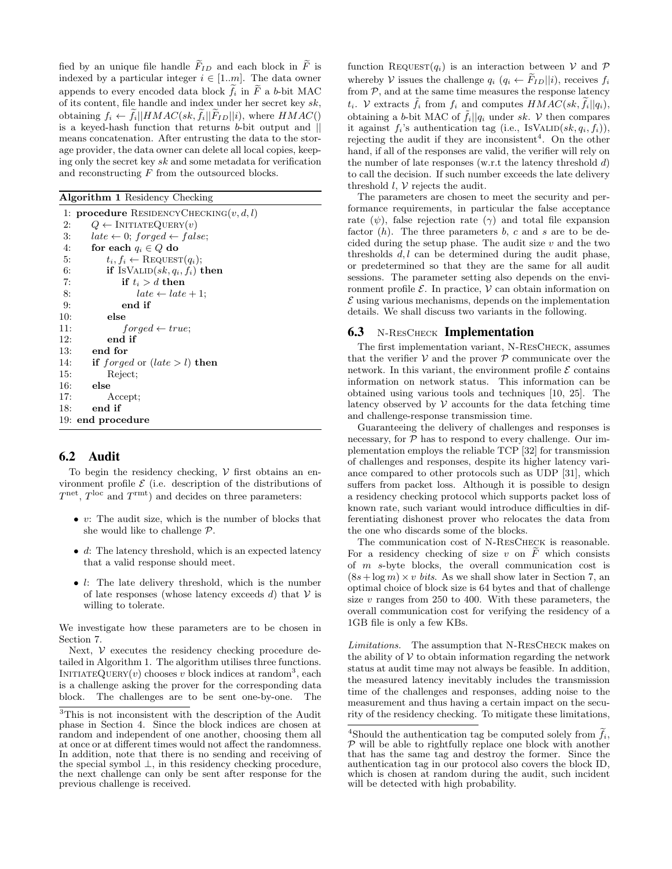fied by an unique file handle  $\widetilde{F}_{ID}$  and each block in  $\widetilde{F}$  is indexed by a particular integer  $i \in [1..m]$ . The data owner appends to every encoded data block  $\tilde{f}_i$  in  $\tilde{F}$  a b-bit MAC of its content, file handle and index under her secret key  $sk$ , obtaining  $f_i \leftarrow \tilde{f}_i || HMAC(sk, \tilde{f}_i || \tilde{F}_{ID} || i)$ , where  $HMAC()$ is a keyed-hash function that returns  $b$ -bit output and  $||$ means concatenation. After entrusting the data to the storage provider, the data owner can delete all local copies, keeping only the secret key  $sk$  and some metadata for verification and reconstructing  $F$  from the outsourced blocks.

Algorithm 1 Residency Checking

1: procedure RESIDENCYCHECKING $(v, d, l)$ 2:  $Q \leftarrow \text{INITIATEQUERY}(v)$ 3:  $late \leftarrow 0;~forged \leftarrow false;$ 4: for each  $q_i \in Q$  do 5:  $t_i, f_i \leftarrow \text{ReQUEST}(q_i);$ 6: if IsVaLID $(sk, q_i, f_i)$  then 7: if  $t_i > d$  then 8:  $late \leftarrow late + 1;$ 9: end if 10: else 11:  $forged \leftarrow true;$ 12: end if 13: end for 14: if  $forged$  or  $(late > l)$  then 15: Reject; 16: else 17: Accept; 18: end if 19: end procedure

#### 6.2 Audit

To begin the residency checking,  $V$  first obtains an environment profile  $\mathcal E$  (i.e. description of the distributions of  $T^{\text{net}}$ ,  $T^{\text{loc}}$  and  $T^{\text{rmt}}$ ) and decides on three parameters:

- $\bullet$  v: The audit size, which is the number of blocks that she would like to challenge P.
- d: The latency threshold, which is an expected latency that a valid response should meet.
- $\bullet$  l: The late delivery threshold, which is the number of late responses (whose latency exceeds d) that  $V$  is willing to tolerate.

We investigate how these parameters are to be chosen in Section 7.

Next,  $V$  executes the residency checking procedure detailed in Algorithm 1. The algorithm utilises three functions. INITIATEQUERY(v) chooses v block indices at random<sup>3</sup>, each is a challenge asking the prover for the corresponding data block. The challenges are to be sent one-by-one. The function REQUEST $(q_i)$  is an interaction between V and P whereby V issues the challenge  $q_i$  ( $q_i \leftarrow \widetilde{F}_{ID}||i$ ), receives  $f_i$ from  $P$ , and at the same time measures the response latency  $t_i$ . V extracts  $\tilde{f}_i$  from  $f_i$  and computes  $HMAC(sk, f_i||q_i)$ , obtaining a b-bit MAC of  $\tilde{f}_i||q_i$  under sk. V then compares it against  $f_i$ 's authentication tag (i.e., IsVALID $(sk, q_i, f_i)$ ), rejecting the audit if they are inconsistent<sup>4</sup>. On the other hand, if all of the responses are valid, the verifier will rely on the number of late responses (w.r.t the latency threshold d) to call the decision. If such number exceeds the late delivery threshold  $l, V$  rejects the audit.

The parameters are chosen to meet the security and performance requirements, in particular the false acceptance rate  $(\psi)$ , false rejection rate  $(\gamma)$  and total file expansion factor  $(h)$ . The three parameters b, c and s are to be decided during the setup phase. The audit size  $v$  and the two thresholds  $d, l$  can be determined during the audit phase, or predetermined so that they are the same for all audit sessions. The parameter setting also depends on the environment profile  $\mathcal E$ . In practice,  $\mathcal V$  can obtain information on  $\mathcal E$  using various mechanisms, depends on the implementation details. We shall discuss two variants in the following.

#### **6.3** N-RESCHECK Implementation

The first implementation variant, N-ResCheck, assumes that the verifier  $V$  and the prover  $P$  communicate over the network. In this variant, the environment profile  $\mathcal E$  contains information on network status. This information can be obtained using various tools and techniques [10, 25]. The latency observed by  $V$  accounts for the data fetching time and challenge-response transmission time.

Guaranteeing the delivery of challenges and responses is necessary, for  $P$  has to respond to every challenge. Our implementation employs the reliable TCP [32] for transmission of challenges and responses, despite its higher latency variance compared to other protocols such as UDP [31], which suffers from packet loss. Although it is possible to design a residency checking protocol which supports packet loss of known rate, such variant would introduce difficulties in differentiating dishonest prover who relocates the data from the one who discards some of the blocks.

The communication cost of N-ResCheck is reasonable. For a residency checking of size v on  $\tilde{F}$  which consists of m s-byte blocks, the overall communication cost is  $(8s + \log m) \times v$  bits. As we shall show later in Section 7, an optimal choice of block size is 64 bytes and that of challenge size  $v$  ranges from 250 to 400. With these parameters, the overall communication cost for verifying the residency of a 1GB file is only a few KBs.

Limitations. The assumption that N-RESCHECK makes on the ability of  $V$  to obtain information regarding the network status at audit time may not always be feasible. In addition, the measured latency inevitably includes the transmission time of the challenges and responses, adding noise to the measurement and thus having a certain impact on the security of the residency checking. To mitigate these limitations,

<sup>3</sup>This is not inconsistent with the description of the Audit phase in Section 4. Since the block indices are chosen at random and independent of one another, choosing them all at once or at different times would not affect the randomness. In addition, note that there is no sending and receiving of the special symbol  $\perp$ , in this residency checking procedure, the next challenge can only be sent after response for the previous challenge is received.

<sup>&</sup>lt;sup>4</sup>Should the authentication tag be computed solely from  $f_i$ ,  $P$  will be able to rightfully replace one block with another that has the same tag and destroy the former. Since the authentication tag in our protocol also covers the block ID, which is chosen at random during the audit, such incident will be detected with high probability.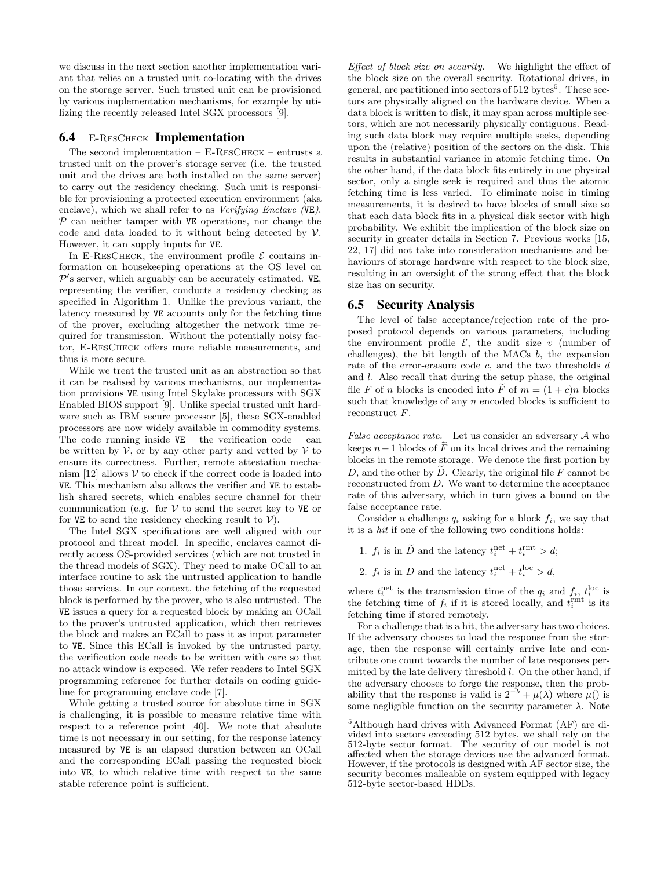we discuss in the next section another implementation variant that relies on a trusted unit co-locating with the drives on the storage server. Such trusted unit can be provisioned by various implementation mechanisms, for example by utilizing the recently released Intel SGX processors [9].

#### **6.4** E-RESCHECK Implementation

The second implementation  $-$  E-RESCHECK  $-$  entrusts a trusted unit on the prover's storage server (i.e. the trusted unit and the drives are both installed on the same server) to carry out the residency checking. Such unit is responsible for provisioning a protected execution environment (aka enclave), which we shall refer to as *Verifying Enclave* (VE).  $P$  can neither tamper with VE operations, nor change the code and data loaded to it without being detected by  $V$ . However, it can supply inputs for VE.

In E-RESCHECK, the environment profile  $\mathcal E$  contains information on housekeeping operations at the OS level on  $\mathcal{P}'$ s server, which arguably can be accurately estimated. VE, representing the verifier, conducts a residency checking as specified in Algorithm 1. Unlike the previous variant, the latency measured by VE accounts only for the fetching time of the prover, excluding altogether the network time required for transmission. Without the potentially noisy factor, E-ResCheck offers more reliable measurements, and thus is more secure.

While we treat the trusted unit as an abstraction so that it can be realised by various mechanisms, our implementation provisions VE using Intel Skylake processors with SGX Enabled BIOS support [9]. Unlike special trusted unit hardware such as IBM secure processor [5], these SGX-enabled processors are now widely available in commodity systems. The code running inside  $VE$  – the verification code – can be written by  $V$ , or by any other party and vetted by  $V$  to ensure its correctness. Further, remote attestation mechanism [12] allows  $V$  to check if the correct code is loaded into VE. This mechanism also allows the verifier and VE to establish shared secrets, which enables secure channel for their communication (e.g. for  $V$  to send the secret key to VE or for VE to send the residency checking result to  $V$ ).

The Intel SGX specifications are well aligned with our protocol and threat model. In specific, enclaves cannot directly access OS-provided services (which are not trusted in the thread models of SGX). They need to make OCall to an interface routine to ask the untrusted application to handle those services. In our context, the fetching of the requested block is performed by the prover, who is also untrusted. The VE issues a query for a requested block by making an OCall to the prover's untrusted application, which then retrieves the block and makes an ECall to pass it as input parameter to VE. Since this ECall is invoked by the untrusted party, the verification code needs to be written with care so that no attack window is exposed. We refer readers to Intel SGX programming reference for further details on coding guideline for programming enclave code [7].

While getting a trusted source for absolute time in SGX is challenging, it is possible to measure relative time with respect to a reference point [40]. We note that absolute time is not necessary in our setting, for the response latency measured by VE is an elapsed duration between an OCall and the corresponding ECall passing the requested block into VE, to which relative time with respect to the same stable reference point is sufficient.

Effect of block size on security. We highlight the effect of the block size on the overall security. Rotational drives, in general, are partitioned into sectors of  $512$  bytes<sup>5</sup>. These sectors are physically aligned on the hardware device. When a data block is written to disk, it may span across multiple sectors, which are not necessarily physically contiguous. Reading such data block may require multiple seeks, depending upon the (relative) position of the sectors on the disk. This results in substantial variance in atomic fetching time. On the other hand, if the data block fits entirely in one physical sector, only a single seek is required and thus the atomic fetching time is less varied. To eliminate noise in timing measurements, it is desired to have blocks of small size so that each data block fits in a physical disk sector with high probability. We exhibit the implication of the block size on security in greater details in Section 7. Previous works [15, 22, 17] did not take into consideration mechanisms and behaviours of storage hardware with respect to the block size, resulting in an oversight of the strong effect that the block size has on security.

#### 6.5 Security Analysis

The level of false acceptance/rejection rate of the proposed protocol depends on various parameters, including the environment profile  $\mathcal{E}$ , the audit size v (number of challenges), the bit length of the MACs b, the expansion rate of the error-erasure code c, and the two thresholds d and l. Also recall that during the setup phase, the original file F of n blocks is encoded into  $\tilde{F}$  of  $m = (1+c)n$  blocks such that knowledge of any  $n$  encoded blocks is sufficient to reconstruct F.

False acceptance rate. Let us consider an adversary  $A$  who keeps  $n-1$  blocks of  $\widetilde{F}$  on its local drives and the remaining blocks in the remote storage. We denote the first portion by D, and the other by  $\tilde{D}$ . Clearly, the original file F cannot be reconstructed from D. We want to determine the acceptance rate of this adversary, which in turn gives a bound on the false acceptance rate.

Consider a challenge  $q_i$  asking for a block  $f_i$ , we say that it is a hit if one of the following two conditions holds:

- 1.  $f_i$  is in  $\widetilde{D}$  and the latency  $t_i^{\text{net}} + t_i^{\text{rmt}} > d$ ;
- 2.  $f_i$  is in D and the latency  $t_i^{\text{net}} + t_i^{\text{loc}} > d$ ,

where  $t_i^{\text{net}}$  is the transmission time of the  $q_i$  and  $f_i$ ,  $t_i^{\text{loc}}$  is the fetching time of  $f_i$  if it is stored locally, and  $t_i^{\text{rmt}}$  is its fetching time if stored remotely.

For a challenge that is a hit, the adversary has two choices. If the adversary chooses to load the response from the storage, then the response will certainly arrive late and contribute one count towards the number of late responses permitted by the late delivery threshold l. On the other hand, if the adversary chooses to forge the response, then the probability that the response is valid is  $2^{-b} + \mu(\lambda)$  where  $\mu(\lambda)$  is some negligible function on the security parameter  $\lambda$ . Note

<sup>5</sup>Although hard drives with Advanced Format (AF) are divided into sectors exceeding 512 bytes, we shall rely on the 512-byte sector format. The security of our model is not affected when the storage devices use the advanced format. However, if the protocols is designed with AF sector size, the security becomes malleable on system equipped with legacy 512-byte sector-based HDDs.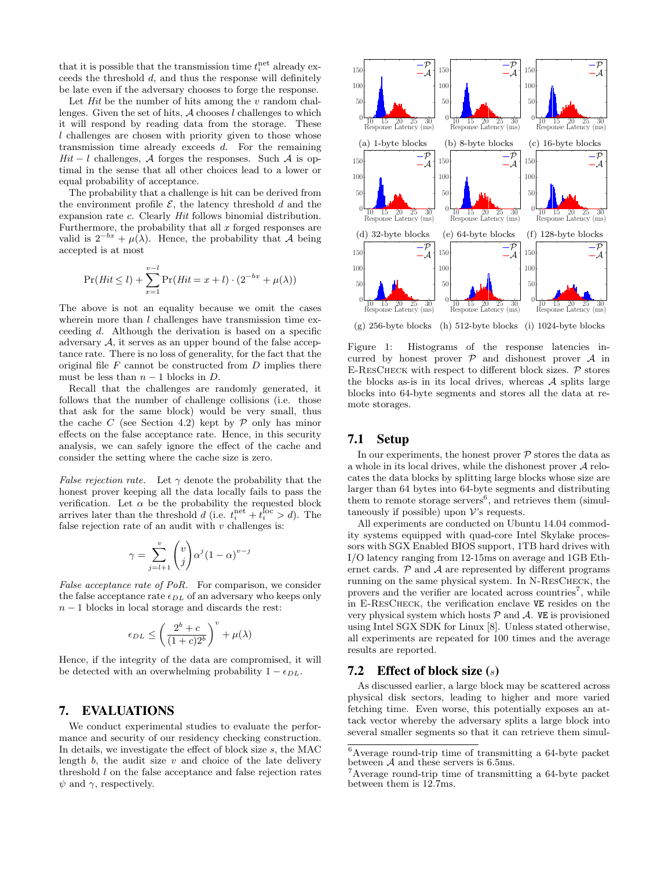that it is possible that the transmission time  $t_i^{\text{net}}$  already exceeds the threshold d, and thus the response will definitely be late even if the adversary chooses to forge the response.

Let  $Hit$  be the number of hits among the  $v$  random challenges. Given the set of hits,  $A$  chooses  $l$  challenges to which it will respond by reading data from the storage. These l challenges are chosen with priority given to those whose transmission time already exceeds d. For the remaining  $Hit - l$  challenges, A forges the responses. Such A is optimal in the sense that all other choices lead to a lower or equal probability of acceptance.

The probability that a challenge is hit can be derived from the environment profile  $\mathcal{E}$ , the latency threshold  $d$  and the expansion rate c. Clearly Hit follows binomial distribution. Furthermore, the probability that all  $x$  forged responses are valid is  $2^{-bx} + \mu(\lambda)$ . Hence, the probability that A being accepted is at most

$$
Pr(Hit \le l) + \sum_{x=1}^{v-l} Pr(Hit = x + l) \cdot (2^{-bx} + \mu(\lambda))
$$

The above is not an equality because we omit the cases wherein more than  $l$  challenges have transmission time exceeding d. Although the derivation is based on a specific adversary  $A$ , it serves as an upper bound of the false acceptance rate. There is no loss of generality, for the fact that the original file  $F$  cannot be constructed from  $D$  implies there must be less than  $n-1$  blocks in D.

Recall that the challenges are randomly generated, it follows that the number of challenge collisions (i.e. those that ask for the same block) would be very small, thus the cache C (see Section 4.2) kept by  $P$  only has minor effects on the false acceptance rate. Hence, in this security analysis, we can safely ignore the effect of the cache and consider the setting where the cache size is zero.

*False rejection rate.* Let  $\gamma$  denote the probability that the honest prover keeping all the data locally fails to pass the verification. Let  $\alpha$  be the probability the requested block arrives later than the threshold d (i.e.  $t_i^{\text{net}} + t_i^{\text{foc}} > d$ ). The false rejection rate of an audit with  $v$  challenges is:

$$
\gamma = \sum_{j=l+1}^{v} \binom{v}{j} \alpha^j (1-\alpha)^{v-j}
$$

False acceptance rate of PoR. For comparison, we consider the false acceptance rate  $\epsilon_{DL}$  of an adversary who keeps only  $n - 1$  blocks in local storage and discards the rest:

$$
\epsilon_{DL} \leq \left(\frac{2^b+c}{(1+c)2^b}\right)^v + \mu(\lambda)
$$

Hence, if the integrity of the data are compromised, it will be detected with an overwhelming probability  $1 - \epsilon_{DL}$ .

#### 7. EVALUATIONS

We conduct experimental studies to evaluate the performance and security of our residency checking construction. In details, we investigate the effect of block size s, the MAC length  $b$ , the audit size  $v$  and choice of the late delivery threshold  $l$  on the false acceptance and false rejection rates  $\psi$  and  $\gamma$ , respectively.



(g) 256-byte blocks (h) 512-byte blocks (i) 1024-byte blocks

Figure 1: Histograms of the response latencies incurred by honest prover  $P$  and dishonest prover  $A$  in E-RESCHECK with respect to different block sizes.  $P$  stores the blocks as-is in its local drives, whereas  $A$  splits large blocks into 64-byte segments and stores all the data at remote storages.

## 7.1 Setup

In our experiments, the honest prover  $P$  stores the data as a whole in its local drives, while the dishonest prover A relocates the data blocks by splitting large blocks whose size are larger than 64 bytes into 64-byte segments and distributing them to remote storage servers $<sup>6</sup>$ , and retrieves them (simul-</sup> taneously if possible) upon  $\mathcal V$ 's requests.

All experiments are conducted on Ubuntu 14.04 commodity systems equipped with quad-core Intel Skylake processors with SGX Enabled BIOS support, 1TB hard drives with I/O latency ranging from 12-15ms on average and 1GB Ethernet cards.  $P$  and  $A$  are represented by different programs running on the same physical system. In N-ResCheck, the provers and the verifier are located across countries<sup>7</sup>, while in E-ResCheck, the verification enclave VE resides on the very physical system which hosts  $P$  and  $A$ . VE is provisioned using Intel SGX SDK for Linux [8]. Unless stated otherwise, all experiments are repeated for 100 times and the average results are reported.

#### 7.2 Effect of block size  $(s)$

As discussed earlier, a large block may be scattered across physical disk sectors, leading to higher and more varied fetching time. Even worse, this potentially exposes an attack vector whereby the adversary splits a large block into several smaller segments so that it can retrieve them simul-

 $^6\text{Average round-trip time}$  of transmitting a 64-byte packet between  $A$  and these servers is 6.5ms.

<sup>7</sup>Average round-trip time of transmitting a 64-byte packet between them is 12.7ms.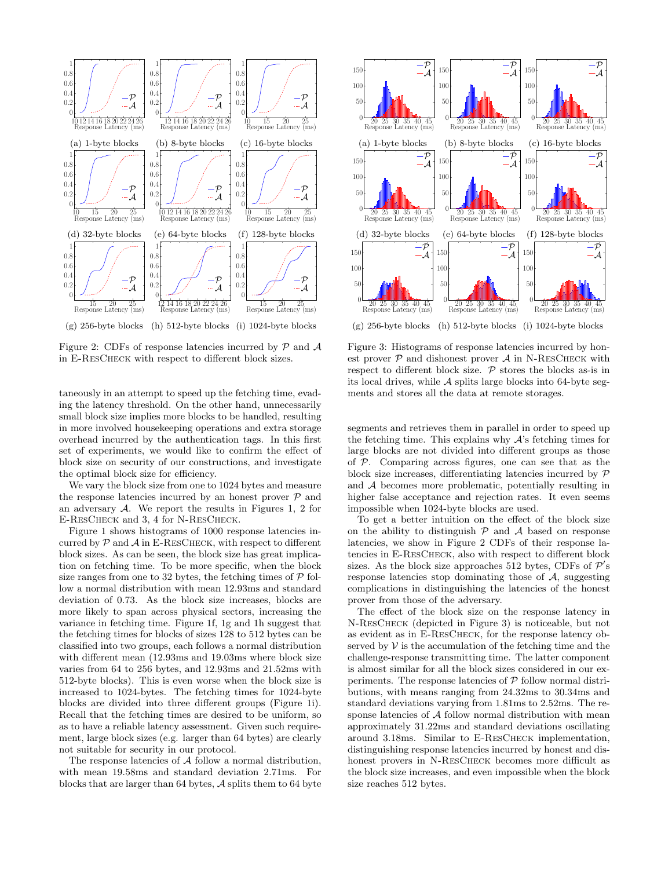

Figure 2: CDFs of response latencies incurred by  $P$  and  $A$ in E-ResCheck with respect to different block sizes.

taneously in an attempt to speed up the fetching time, evading the latency threshold. On the other hand, unnecessarily small block size implies more blocks to be handled, resulting in more involved housekeeping operations and extra storage overhead incurred by the authentication tags. In this first set of experiments, we would like to confirm the effect of block size on security of our constructions, and investigate the optimal block size for efficiency.

We vary the block size from one to 1024 bytes and measure the response latencies incurred by an honest prover  $P$  and an adversary  $A$ . We report the results in Figures 1, 2 for E-ResCheck and 3, 4 for N-ResCheck.

Figure 1 shows histograms of 1000 response latencies incurred by  $P$  and  $A$  in E-RESCHECK, with respect to different block sizes. As can be seen, the block size has great implication on fetching time. To be more specific, when the block size ranges from one to 32 bytes, the fetching times of  $P$  follow a normal distribution with mean 12.93ms and standard deviation of 0.73. As the block size increases, blocks are more likely to span across physical sectors, increasing the variance in fetching time. Figure 1f, 1g and 1h suggest that the fetching times for blocks of sizes 128 to 512 bytes can be classified into two groups, each follows a normal distribution with different mean (12.93ms and 19.03ms where block size varies from 64 to 256 bytes, and 12.93ms and 21.52ms with 512-byte blocks). This is even worse when the block size is increased to 1024-bytes. The fetching times for 1024-byte blocks are divided into three different groups (Figure 1i). Recall that the fetching times are desired to be uniform, so as to have a reliable latency assessment. Given such requirement, large block sizes (e.g. larger than 64 bytes) are clearly not suitable for security in our protocol.

The response latencies of  $A$  follow a normal distribution, with mean 19.58ms and standard deviation 2.71ms. For blocks that are larger than 64 bytes, A splits them to 64 byte



(g) 256-byte blocks (h) 512-byte blocks (i) 1024-byte blocks

Figure 3: Histograms of response latencies incurred by honest prover  $P$  and dishonest prover  $A$  in N-RESCHECK with respect to different block size.  $P$  stores the blocks as-is in its local drives, while  $\mathcal A$  splits large blocks into 64-byte segments and stores all the data at remote storages.

segments and retrieves them in parallel in order to speed up the fetching time. This explains why  $A$ 's fetching times for large blocks are not divided into different groups as those of P. Comparing across figures, one can see that as the block size increases, differentiating latencies incurred by P and A becomes more problematic, potentially resulting in higher false acceptance and rejection rates. It even seems impossible when 1024-byte blocks are used.

To get a better intuition on the effect of the block size on the ability to distinguish  $P$  and  $A$  based on response latencies, we show in Figure 2 CDFs of their response latencies in E-ResCheck, also with respect to different block sizes. As the block size approaches 512 bytes, CDFs of  $\mathcal{P}'$ s response latencies stop dominating those of A, suggesting complications in distinguishing the latencies of the honest prover from those of the adversary.

The effect of the block size on the response latency in N-ResCheck (depicted in Figure 3) is noticeable, but not as evident as in E-ResCheck, for the response latency observed by  $V$  is the accumulation of the fetching time and the challenge-response transmitting time. The latter component is almost similar for all the block sizes considered in our experiments. The response latencies of  $P$  follow normal distributions, with means ranging from 24.32ms to 30.34ms and standard deviations varying from 1.81ms to 2.52ms. The response latencies of A follow normal distribution with mean approximately 31.22ms and standard deviations oscillating around 3.18ms. Similar to E-ResCheck implementation, distinguishing response latencies incurred by honest and dishonest provers in N-RESCHECK becomes more difficult as the block size increases, and even impossible when the block size reaches 512 bytes.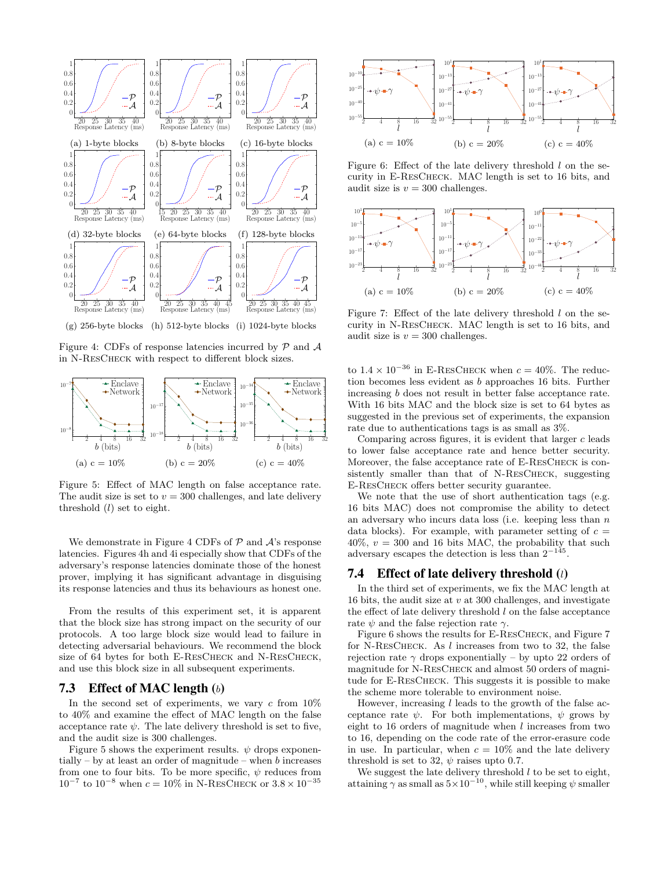

Figure 4: CDFs of response latencies incurred by  $P$  and  $A$ in N-ResCheck with respect to different block sizes.



Figure 5: Effect of MAC length on false acceptance rate. The audit size is set to  $v = 300$  challenges, and late delivery threshold  $(l)$  set to eight.

We demonstrate in Figure 4 CDFs of  $P$  and  $A$ 's response latencies. Figures 4h and 4i especially show that CDFs of the adversary's response latencies dominate those of the honest prover, implying it has significant advantage in disguising its response latencies and thus its behaviours as honest one.

From the results of this experiment set, it is apparent that the block size has strong impact on the security of our protocols. A too large block size would lead to failure in detecting adversarial behaviours. We recommend the block size of 64 bytes for both E-ResCheck and N-ResCheck, and use this block size in all subsequent experiments.

#### 7.3 Effect of MAC length  $(b)$

In the second set of experiments, we vary c from  $10\%$ to 40% and examine the effect of MAC length on the false acceptance rate  $\psi$ . The late delivery threshold is set to five, and the audit size is 300 challenges.

Figure 5 shows the experiment results.  $\psi$  drops exponentially – by at least an order of magnitude – when  $b$  increases from one to four bits. To be more specific,  $\psi$  reduces from  $10^{-7}$  to  $10^{-8}$  when  $c = 10\%$  in N-RESCHECK or  $3.8 \times 10^{-35}$ 



Figure 6: Effect of the late delivery threshold  $l$  on the security in E-ResCheck. MAC length is set to 16 bits, and audit size is  $v = 300$  challenges.



Figure 7: Effect of the late delivery threshold  $l$  on the security in N-ResCheck. MAC length is set to 16 bits, and audit size is  $v = 300$  challenges.

to  $1.4 \times 10^{-36}$  in E-RESCHECK when  $c = 40\%$ . The reduction becomes less evident as b approaches 16 bits. Further increasing b does not result in better false acceptance rate. With 16 bits MAC and the block size is set to 64 bytes as suggested in the previous set of experiments, the expansion rate due to authentications tags is as small as 3%.

Comparing across figures, it is evident that larger  $c$  leads to lower false acceptance rate and hence better security. Moreover, the false acceptance rate of E-RESCHECK is consistently smaller than that of N-RESCHECK, suggesting E-ResCheck offers better security guarantee.

We note that the use of short authentication tags (e.g. 16 bits MAC) does not compromise the ability to detect an adversary who incurs data loss (i.e. keeping less than  $n$ data blocks). For example, with parameter setting of  $c =$  $40\%$ ,  $v = 300$  and 16 bits MAC, the probability that such adversary escapes the detection is less than  $2^{-145}$ .

## 7.4 Effect of late delivery threshold  $(l)$

In the third set of experiments, we fix the MAC length at 16 bits, the audit size at  $v$  at 300 challenges, and investigate the effect of late delivery threshold  $l$  on the false acceptance rate  $\psi$  and the false rejection rate  $\gamma$ .

Figure 6 shows the results for E-ResCheck, and Figure 7 for N-RESCHECK. As  $l$  increases from two to 32, the false rejection rate  $\gamma$  drops exponentially – by upto 22 orders of magnitude for N-ResCheck and almost 50 orders of magnitude for E-ResCheck. This suggests it is possible to make the scheme more tolerable to environment noise.

However, increasing l leads to the growth of the false acceptance rate  $\psi$ . For both implementations,  $\psi$  grows by eight to 16 orders of magnitude when  $l$  increases from two to 16, depending on the code rate of the error-erasure code in use. In particular, when  $c = 10\%$  and the late delivery threshold is set to 32,  $\psi$  raises upto 0.7.

We suggest the late delivery threshold  $l$  to be set to eight, attaining  $\gamma$  as small as  $5 \times 10^{-10}$ , while still keeping  $\psi$  smaller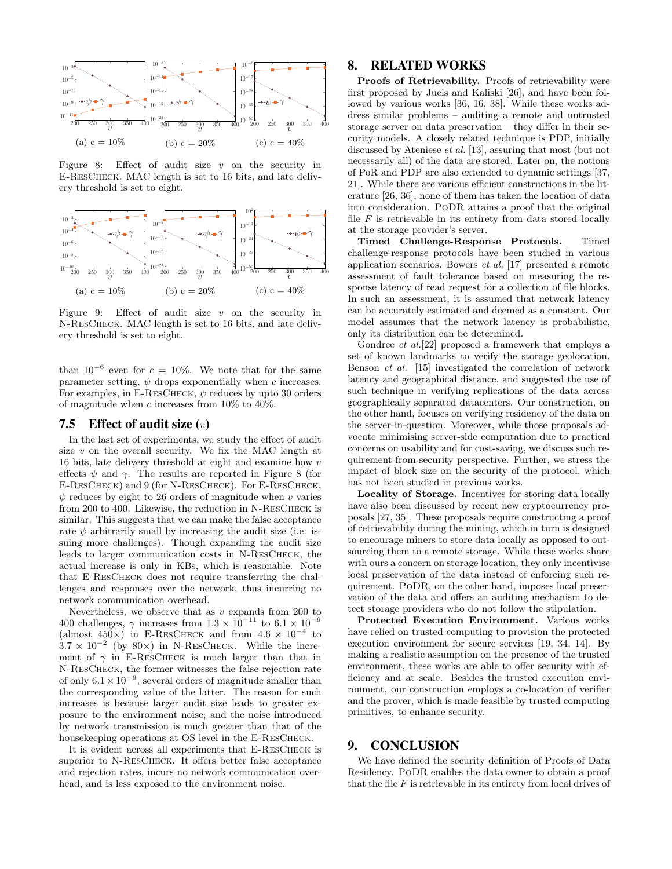

Figure 8: Effect of audit size  $v$  on the security in E-ResCheck. MAC length is set to 16 bits, and late delivery threshold is set to eight.



Figure 9: Effect of audit size  $v$  on the security in N-ResCheck. MAC length is set to 16 bits, and late delivery threshold is set to eight.

than  $10^{-6}$  even for  $c = 10\%$ . We note that for the same parameter setting,  $\psi$  drops exponentially when c increases. For examples, in E-RESCHECK,  $\psi$  reduces by upto 30 orders of magnitude when c increases from  $10\%$  to  $40\%.$ 

#### 7.5 Effect of audit size  $(v)$

In the last set of experiments, we study the effect of audit size  $v$  on the overall security. We fix the MAC length at 16 bits, late delivery threshold at eight and examine how v effects  $\psi$  and  $\gamma$ . The results are reported in Figure 8 (for E-ResCheck) and 9 (for N-ResCheck). For E-ResCheck,  $\psi$  reduces by eight to 26 orders of magnitude when v varies from 200 to 400. Likewise, the reduction in N-ResCheck is similar. This suggests that we can make the false acceptance rate  $\psi$  arbitrarily small by increasing the audit size (i.e. issuing more challenges). Though expanding the audit size leads to larger communication costs in N-ResCheck, the actual increase is only in KBs, which is reasonable. Note that E-ResCheck does not require transferring the challenges and responses over the network, thus incurring no network communication overhead.

Nevertheless, we observe that as  $v$  expands from 200 to 400 challenges,  $\gamma$  increases from  $1.3 \times 10^{-11}$  to  $6.1 \times 10^{-9}$ (almost  $450\times$ ) in E-RESCHECK and from  $4.6\times10^{-4}$  to  $3.7 \times 10^{-2}$  (by 80×) in N-RESCHECK. While the increment of  $\gamma$  in E-RESCHECK is much larger than that in N-ResCheck, the former witnesses the false rejection rate of only  $6.1 \times 10^{-9}$ , several orders of magnitude smaller than the corresponding value of the latter. The reason for such increases is because larger audit size leads to greater exposure to the environment noise; and the noise introduced by network transmission is much greater than that of the housekeeping operations at OS level in the E-RESCHECK.

It is evident across all experiments that E-ResCheck is superior to N-ResCheck. It offers better false acceptance and rejection rates, incurs no network communication overhead, and is less exposed to the environment noise.

## 8. RELATED WORKS

Proofs of Retrievability. Proofs of retrievability were first proposed by Juels and Kaliski [26], and have been followed by various works [36, 16, 38]. While these works address similar problems – auditing a remote and untrusted storage server on data preservation – they differ in their security models. A closely related technique is PDP, initially discussed by Ateniese et al. [13], assuring that most (but not necessarily all) of the data are stored. Later on, the notions of PoR and PDP are also extended to dynamic settings [37, 21]. While there are various efficient constructions in the literature [26, 36], none of them has taken the location of data into consideration. PoDR attains a proof that the original file  $F$  is retrievable in its entirety from data stored locally at the storage provider's server.

Timed Challenge-Response Protocols. Timed challenge-response protocols have been studied in various application scenarios. Bowers et al. [17] presented a remote assessment of fault tolerance based on measuring the response latency of read request for a collection of file blocks. In such an assessment, it is assumed that network latency can be accurately estimated and deemed as a constant. Our model assumes that the network latency is probabilistic, only its distribution can be determined.

Gondree et al.[22] proposed a framework that employs a set of known landmarks to verify the storage geolocation. Benson et al. [15] investigated the correlation of network latency and geographical distance, and suggested the use of such technique in verifying replications of the data across geographically separated datacenters. Our construction, on the other hand, focuses on verifying residency of the data on the server-in-question. Moreover, while those proposals advocate minimising server-side computation due to practical concerns on usability and for cost-saving, we discuss such requirement from security perspective. Further, we stress the impact of block size on the security of the protocol, which has not been studied in previous works.

Locality of Storage. Incentives for storing data locally have also been discussed by recent new cryptocurrency proposals [27, 35]. These proposals require constructing a proof of retrievability during the mining, which in turn is designed to encourage miners to store data locally as opposed to outsourcing them to a remote storage. While these works share with ours a concern on storage location, they only incentivise local preservation of the data instead of enforcing such requirement. PoDR, on the other hand, imposes local preservation of the data and offers an auditing mechanism to detect storage providers who do not follow the stipulation.

Protected Execution Environment. Various works have relied on trusted computing to provision the protected execution environment for secure services [19, 34, 14]. By making a realistic assumption on the presence of the trusted environment, these works are able to offer security with efficiency and at scale. Besides the trusted execution environment, our construction employs a co-location of verifier and the prover, which is made feasible by trusted computing primitives, to enhance security.

## 9. CONCLUSION

We have defined the security definition of Proofs of Data Residency. PoDR enables the data owner to obtain a proof that the file  $F$  is retrievable in its entirety from local drives of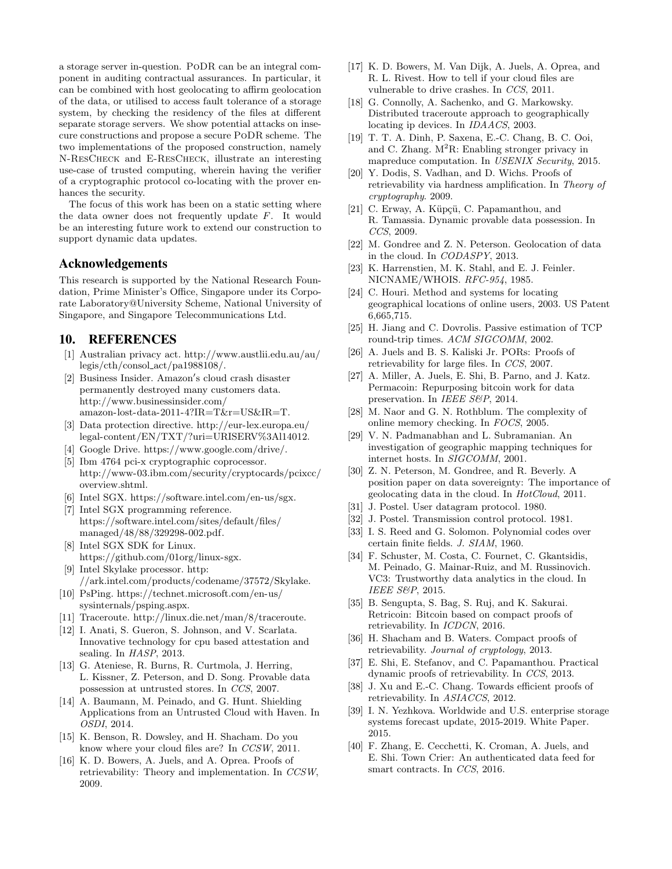a storage server in-question. PoDR can be an integral component in auditing contractual assurances. In particular, it can be combined with host geolocating to affirm geolocation of the data, or utilised to access fault tolerance of a storage system, by checking the residency of the files at different separate storage servers. We show potential attacks on insecure constructions and propose a secure PoDR scheme. The two implementations of the proposed construction, namely N-ResCheck and E-ResCheck, illustrate an interesting use-case of trusted computing, wherein having the verifier of a cryptographic protocol co-locating with the prover enhances the security.

The focus of this work has been on a static setting where the data owner does not frequently update  $F$ . It would be an interesting future work to extend our construction to support dynamic data updates.

#### Acknowledgements

This research is supported by the National Research Foundation, Prime Minister's Office, Singapore under its Corporate Laboratory@University Scheme, National University of Singapore, and Singapore Telecommunications Ltd.

#### 10. REFERENCES

- [1] Australian privacy act. http://www.austlii.edu.au/au/ legis/cth/consol act/pa1988108/.
- [2] Business Insider. Amazon's cloud crash disaster permanently destroyed many customers data. http://www.businessinsider.com/ amazon-lost-data-2011-4?IR=T&r=US&IR=T.
- [3] Data protection directive. http://eur-lex.europa.eu/ legal-content/EN/TXT/?uri=URISERV%3Al14012.
- [4] Google Drive. https://www.google.com/drive/.
- [5] Ibm 4764 pci-x cryptographic coprocessor. http://www-03.ibm.com/security/cryptocards/pcixcc/ overview.shtml.
- [6] Intel SGX. https://software.intel.com/en-us/sgx.
- [7] Intel SGX programming reference. https://software.intel.com/sites/default/files/ managed/48/88/329298-002.pdf.
- [8] Intel SGX SDK for Linux. https://github.com/01org/linux-sgx.
- [9] Intel Skylake processor. http: //ark.intel.com/products/codename/37572/Skylake.
- [10] PsPing. https://technet.microsoft.com/en-us/ sysinternals/psping.aspx.
- [11] Traceroute. http://linux.die.net/man/8/traceroute.
- [12] I. Anati, S. Gueron, S. Johnson, and V. Scarlata. Innovative technology for cpu based attestation and sealing. In HASP, 2013.
- [13] G. Ateniese, R. Burns, R. Curtmola, J. Herring, L. Kissner, Z. Peterson, and D. Song. Provable data possession at untrusted stores. In CCS, 2007.
- [14] A. Baumann, M. Peinado, and G. Hunt. Shielding Applications from an Untrusted Cloud with Haven. In OSDI, 2014.
- [15] K. Benson, R. Dowsley, and H. Shacham. Do you know where your cloud files are? In CCSW, 2011.
- [16] K. D. Bowers, A. Juels, and A. Oprea. Proofs of retrievability: Theory and implementation. In CCSW, 2009.
- [17] K. D. Bowers, M. Van Dijk, A. Juels, A. Oprea, and R. L. Rivest. How to tell if your cloud files are vulnerable to drive crashes. In CCS, 2011.
- [18] G. Connolly, A. Sachenko, and G. Markowsky. Distributed traceroute approach to geographically locating ip devices. In IDAACS, 2003.
- [19] T. T. A. Dinh, P. Saxena, E.-C. Chang, B. C. Ooi, and C. Zhang.  $M^2R$ : Enabling stronger privacy in mapreduce computation. In USENIX Security, 2015.
- [20] Y. Dodis, S. Vadhan, and D. Wichs. Proofs of retrievability via hardness amplification. In Theory of cryptography. 2009.
- $[21]$  C. Erway, A. Küpçü, C. Papamanthou, and R. Tamassia. Dynamic provable data possession. In CCS, 2009.
- [22] M. Gondree and Z. N. Peterson. Geolocation of data in the cloud. In CODASPY, 2013.
- [23] K. Harrenstien, M. K. Stahl, and E. J. Feinler. NICNAME/WHOIS. RFC-954, 1985.
- [24] C. Houri. Method and systems for locating geographical locations of online users, 2003. US Patent 6,665,715.
- [25] H. Jiang and C. Dovrolis. Passive estimation of TCP round-trip times. ACM SIGCOMM, 2002.
- [26] A. Juels and B. S. Kaliski Jr. PORs: Proofs of retrievability for large files. In CCS, 2007.
- [27] A. Miller, A. Juels, E. Shi, B. Parno, and J. Katz. Permacoin: Repurposing bitcoin work for data preservation. In IEEE S&P, 2014.
- [28] M. Naor and G. N. Rothblum. The complexity of online memory checking. In FOCS, 2005.
- [29] V. N. Padmanabhan and L. Subramanian. An investigation of geographic mapping techniques for internet hosts. In SIGCOMM, 2001.
- [30] Z. N. Peterson, M. Gondree, and R. Beverly. A position paper on data sovereignty: The importance of geolocating data in the cloud. In HotCloud, 2011.
- [31] J. Postel. User datagram protocol. 1980.
- [32] J. Postel. Transmission control protocol. 1981.
- [33] I. S. Reed and G. Solomon. Polynomial codes over certain finite fields. J. SIAM, 1960.
- [34] F. Schuster, M. Costa, C. Fournet, C. Gkantsidis, M. Peinado, G. Mainar-Ruiz, and M. Russinovich. VC3: Trustworthy data analytics in the cloud. In IEEE S&P, 2015.
- [35] B. Sengupta, S. Bag, S. Ruj, and K. Sakurai. Retricoin: Bitcoin based on compact proofs of retrievability. In ICDCN, 2016.
- [36] H. Shacham and B. Waters. Compact proofs of retrievability. Journal of cryptology, 2013.
- [37] E. Shi, E. Stefanov, and C. Papamanthou. Practical dynamic proofs of retrievability. In CCS, 2013.
- [38] J. Xu and E.-C. Chang. Towards efficient proofs of retrievability. In ASIACCS, 2012.
- [39] I. N. Yezhkova. Worldwide and U.S. enterprise storage systems forecast update, 2015-2019. White Paper. 2015.
- [40] F. Zhang, E. Cecchetti, K. Croman, A. Juels, and E. Shi. Town Crier: An authenticated data feed for smart contracts. In CCS, 2016.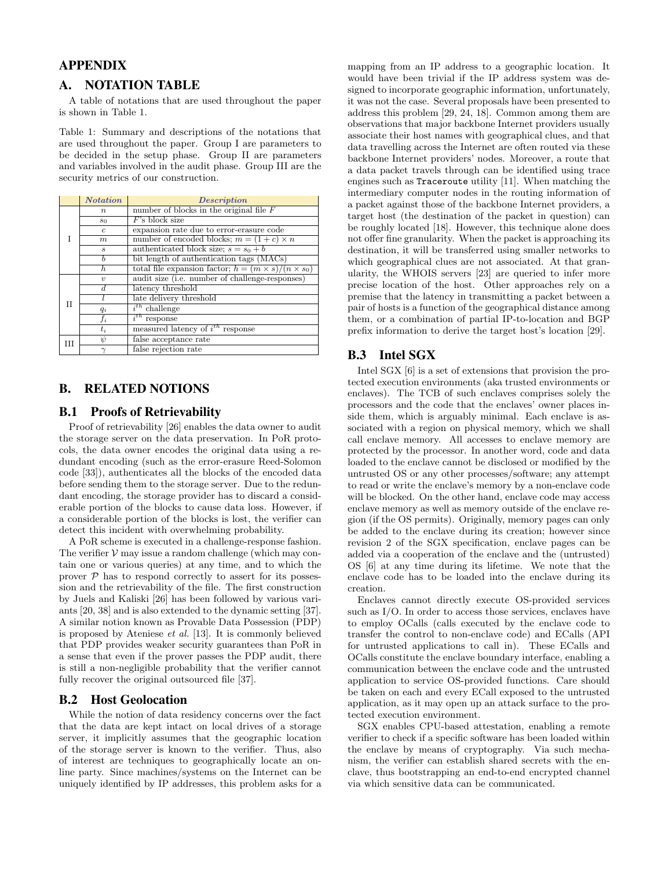# APPENDIX

## A. NOTATION TABLE

A table of notations that are used throughout the paper is shown in Table 1.

Table 1: Summary and descriptions of the notations that are used throughout the paper. Group I are parameters to be decided in the setup phase. Group II are parameters and variables involved in the audit phase. Group III are the security metrics of our construction.

|   | <b>Notation</b>     | <b>Description</b>                                             |
|---|---------------------|----------------------------------------------------------------|
|   | $\boldsymbol{n}$    | number of blocks in the original file $F$                      |
|   | $s_0$               | $F$ 's block size                                              |
|   | $\epsilon$          | expansion rate due to error-erasure code                       |
|   | m                   | number of encoded blocks; $m = (1 + c) \times n$               |
|   | $\boldsymbol{s}$    | authenticated block size; $s = s_0 + b$                        |
|   | b                   | bit length of authentication tags (MACs)                       |
|   | h                   | total file expansion factor; $h = (m \times s)/(n \times s_0)$ |
| H | $\boldsymbol{\eta}$ | audit size (i.e. number of challenge-responses)                |
|   | d.                  | latency threshold                                              |
|   |                     | late delivery threshold                                        |
|   | $q_i$               | $i^{th}$ challenge                                             |
|   | $f_i$               | $\overline{i^{th}}$ response                                   |
|   | $t_i$               | measured latency of $i^{th}$ response                          |
| Ш | ψ                   | false acceptance rate                                          |
|   | $\sim$              | false rejection rate                                           |

## B. RELATED NOTIONS

#### B.1 Proofs of Retrievability

Proof of retrievability [26] enables the data owner to audit the storage server on the data preservation. In PoR protocols, the data owner encodes the original data using a redundant encoding (such as the error-erasure Reed-Solomon code [33]), authenticates all the blocks of the encoded data before sending them to the storage server. Due to the redundant encoding, the storage provider has to discard a considerable portion of the blocks to cause data loss. However, if a considerable portion of the blocks is lost, the verifier can detect this incident with overwhelming probability.

A PoR scheme is executed in a challenge-response fashion. The verifier  $V$  may issue a random challenge (which may contain one or various queries) at any time, and to which the prover  $P$  has to respond correctly to assert for its possession and the retrievability of the file. The first construction by Juels and Kaliski [26] has been followed by various variants [20, 38] and is also extended to the dynamic setting [37]. A similar notion known as Provable Data Possession (PDP) is proposed by Ateniese et al. [13]. It is commonly believed that PDP provides weaker security guarantees than PoR in a sense that even if the prover passes the PDP audit, there is still a non-negligible probability that the verifier cannot fully recover the original outsourced file [37].

#### B.2 Host Geolocation

While the notion of data residency concerns over the fact that the data are kept intact on local drives of a storage server, it implicitly assumes that the geographic location of the storage server is known to the verifier. Thus, also of interest are techniques to geographically locate an online party. Since machines/systems on the Internet can be uniquely identified by IP addresses, this problem asks for a mapping from an IP address to a geographic location. It would have been trivial if the IP address system was designed to incorporate geographic information, unfortunately, it was not the case. Several proposals have been presented to address this problem [29, 24, 18]. Common among them are observations that major backbone Internet providers usually associate their host names with geographical clues, and that data travelling across the Internet are often routed via these backbone Internet providers' nodes. Moreover, a route that a data packet travels through can be identified using trace engines such as Traceroute utility [11]. When matching the intermediary computer nodes in the routing information of a packet against those of the backbone Internet providers, a target host (the destination of the packet in question) can be roughly located [18]. However, this technique alone does not offer fine granularity. When the packet is approaching its destination, it will be transferred using smaller networks to which geographical clues are not associated. At that granularity, the WHOIS servers [23] are queried to infer more precise location of the host. Other approaches rely on a premise that the latency in transmitting a packet between a pair of hosts is a function of the geographical distance among them, or a combination of partial IP-to-location and BGP prefix information to derive the target host's location [29].

#### B.3 Intel SGX

Intel SGX [6] is a set of extensions that provision the protected execution environments (aka trusted environments or enclaves). The TCB of such enclaves comprises solely the processors and the code that the enclaves' owner places inside them, which is arguably minimal. Each enclave is associated with a region on physical memory, which we shall call enclave memory. All accesses to enclave memory are protected by the processor. In another word, code and data loaded to the enclave cannot be disclosed or modified by the untrusted OS or any other processes/software; any attempt to read or write the enclave's memory by a non-enclave code will be blocked. On the other hand, enclave code may access enclave memory as well as memory outside of the enclave region (if the OS permits). Originally, memory pages can only be added to the enclave during its creation; however since revision 2 of the SGX specification, enclave pages can be added via a cooperation of the enclave and the (untrusted) OS [6] at any time during its lifetime. We note that the enclave code has to be loaded into the enclave during its creation.

Enclaves cannot directly execute OS-provided services such as I/O. In order to access those services, enclaves have to employ OCalls (calls executed by the enclave code to transfer the control to non-enclave code) and ECalls (API for untrusted applications to call in). These ECalls and OCalls constitute the enclave boundary interface, enabling a communication between the enclave code and the untrusted application to service OS-provided functions. Care should be taken on each and every ECall exposed to the untrusted application, as it may open up an attack surface to the protected execution environment.

SGX enables CPU-based attestation, enabling a remote verifier to check if a specific software has been loaded within the enclave by means of cryptography. Via such mechanism, the verifier can establish shared secrets with the enclave, thus bootstrapping an end-to-end encrypted channel via which sensitive data can be communicated.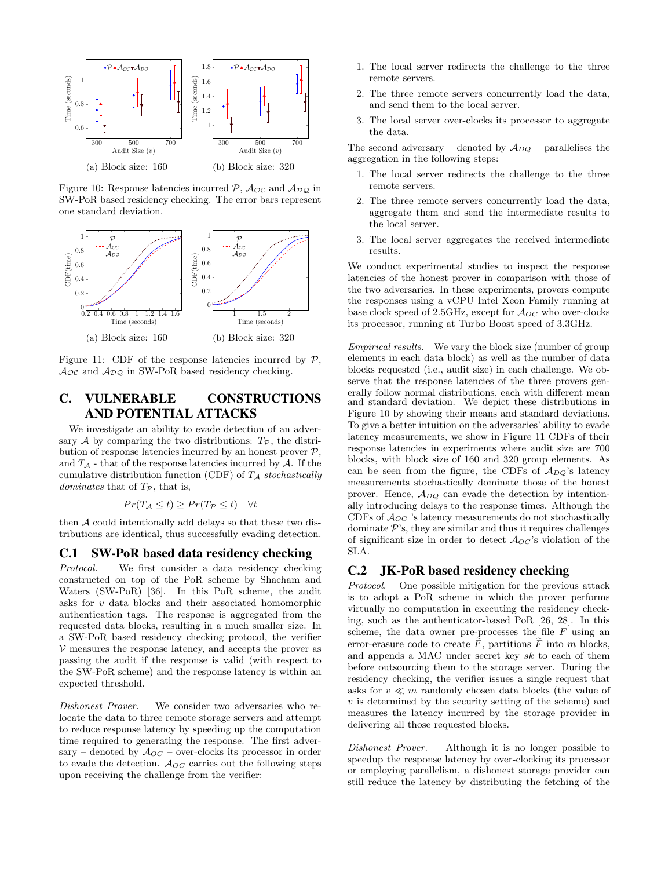

Figure 10: Response latencies incurred  $P$ ,  $A_{\mathcal{O}\mathcal{C}}$  and  $A_{\mathcal{D}\mathcal{Q}}$  in SW-PoR based residency checking. The error bars represent one standard deviation.



Figure 11: CDF of the response latencies incurred by  $P$ ,  $A_{OC}$  and  $A_{DQ}$  in SW-PoR based residency checking.

# C. VULNERABLE CONSTRUCTIONS AND POTENTIAL ATTACKS

We investigate an ability to evade detection of an adversary A by comparing the two distributions:  $T_{\mathcal{P}}$ , the distribution of response latencies incurred by an honest prover  $P$ , and  $T_A$  - that of the response latencies incurred by  $A$ . If the cumulative distribution function (CDF) of  $T_A$  stochastically dominates that of  $T_{\mathcal{P}}$ , that is,

$$
Pr(T_A \le t) \ge Pr(T_P \le t) \quad \forall t
$$

then A could intentionally add delays so that these two distributions are identical, thus successfully evading detection.

#### C.1 SW-PoR based data residency checking

Protocol. We first consider a data residency checking constructed on top of the PoR scheme by Shacham and Waters (SW-PoR) [36]. In this PoR scheme, the audit asks for v data blocks and their associated homomorphic authentication tags. The response is aggregated from the requested data blocks, resulting in a much smaller size. In a SW-PoR based residency checking protocol, the verifier  $V$  measures the response latency, and accepts the prover as passing the audit if the response is valid (with respect to the SW-PoR scheme) and the response latency is within an expected threshold.

Dishonest Prover. We consider two adversaries who relocate the data to three remote storage servers and attempt to reduce response latency by speeding up the computation time required to generating the response. The first adversary – denoted by  $A_{OC}$  – over-clocks its processor in order to evade the detection.  $A_{OC}$  carries out the following steps upon receiving the challenge from the verifier:

- 1. The local server redirects the challenge to the three remote servers.
- 2. The three remote servers concurrently load the data, and send them to the local server.
- 3. The local server over-clocks its processor to aggregate the data.

The second adversary – denoted by  $A_{DQ}$  – parallelises the aggregation in the following steps:

- 1. The local server redirects the challenge to the three remote servers.
- 2. The three remote servers concurrently load the data, aggregate them and send the intermediate results to the local server.
- 3. The local server aggregates the received intermediate results.

We conduct experimental studies to inspect the response latencies of the honest prover in comparison with those of the two adversaries. In these experiments, provers compute the responses using a vCPU Intel Xeon Family running at base clock speed of 2.5GHz, except for  $\mathcal{A}_{OC}$  who over-clocks its processor, running at Turbo Boost speed of 3.3GHz.

Empirical results. We vary the block size (number of group elements in each data block) as well as the number of data blocks requested (i.e., audit size) in each challenge. We observe that the response latencies of the three provers generally follow normal distributions, each with different mean and standard deviation. We depict these distributions in Figure 10 by showing their means and standard deviations. To give a better intuition on the adversaries' ability to evade latency measurements, we show in Figure 11 CDFs of their response latencies in experiments where audit size are 700 blocks, with block size of 160 and 320 group elements. As can be seen from the figure, the CDFs of  $A_{DQ}$ 's latency measurements stochastically dominate those of the honest prover. Hence,  $A_{DQ}$  can evade the detection by intentionally introducing delays to the response times. Although the CDFs of  $A_{OC}$  's latency measurements do not stochastically dominate  $\mathcal{P}$ 's, they are similar and thus it requires challenges of significant size in order to detect  $\mathcal{A}_{OC}$ 's violation of the SLA.

## C.2 JK-PoR based residency checking

Protocol. One possible mitigation for the previous attack is to adopt a PoR scheme in which the prover performs virtually no computation in executing the residency checking, such as the authenticator-based PoR [26, 28]. In this scheme, the data owner pre-processes the file  $F$  using an error-erasure code to create  $\tilde{F}$ , partitions  $\tilde{F}$  into m blocks, and appends a MAC under secret key sk to each of them before outsourcing them to the storage server. During the residency checking, the verifier issues a single request that asks for  $v \ll m$  randomly chosen data blocks (the value of  $v$  is determined by the security setting of the scheme) and measures the latency incurred by the storage provider in delivering all those requested blocks.

Dishonest Prover. Although it is no longer possible to speedup the response latency by over-clocking its processor or employing parallelism, a dishonest storage provider can still reduce the latency by distributing the fetching of the